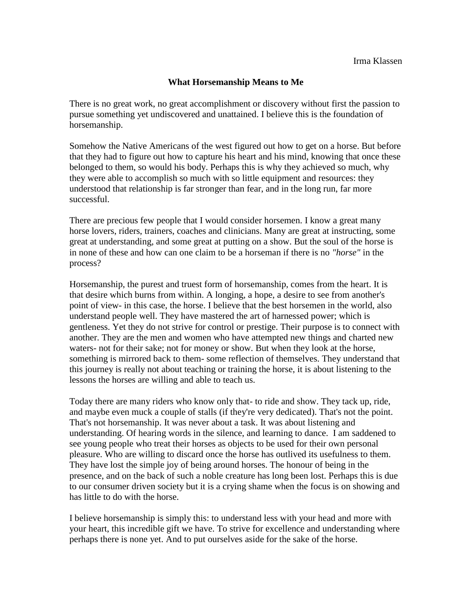## **What Horsemanship Means to Me**

There is no great work, no great accomplishment or discovery without first the passion to pursue something yet undiscovered and unattained. I believe this is the foundation of horsemanship.

Somehow the Native Americans of the west figured out how to get on a horse. But before that they had to figure out how to capture his heart and his mind, knowing that once these belonged to them, so would his body. Perhaps this is why they achieved so much, why they were able to accomplish so much with so little equipment and resources: they understood that relationship is far stronger than fear, and in the long run, far more successful.

There are precious few people that I would consider horsemen. I know a great many horse lovers, riders, trainers, coaches and clinicians. Many are great at instructing, some great at understanding, and some great at putting on a show. But the soul of the horse is in none of these and how can one claim to be a horseman if there is no *"horse"* in the process?

Horsemanship, the purest and truest form of horsemanship, comes from the heart. It is that desire which burns from within. A longing, a hope, a desire to see from another's point of view- in this case, the horse. I believe that the best horsemen in the world, also understand people well. They have mastered the art of harnessed power; which is gentleness. Yet they do not strive for control or prestige. Their purpose is to connect with another. They are the men and women who have attempted new things and charted new waters- not for their sake; not for money or show. But when they look at the horse, something is mirrored back to them- some reflection of themselves. They understand that this journey is really not about teaching or training the horse, it is about listening to the lessons the horses are willing and able to teach us.

Today there are many riders who know only that- to ride and show. They tack up, ride, and maybe even muck a couple of stalls (if they're very dedicated). That's not the point. That's not horsemanship. It was never about a task. It was about listening and understanding. Of hearing words in the silence, and learning to dance. I am saddened to see young people who treat their horses as objects to be used for their own personal pleasure. Who are willing to discard once the horse has outlived its usefulness to them. They have lost the simple joy of being around horses. The honour of being in the presence, and on the back of such a noble creature has long been lost. Perhaps this is due to our consumer driven society but it is a crying shame when the focus is on showing and has little to do with the horse.

I believe horsemanship is simply this: to understand less with your head and more with your heart, this incredible gift we have. To strive for excellence and understanding where perhaps there is none yet. And to put ourselves aside for the sake of the horse.